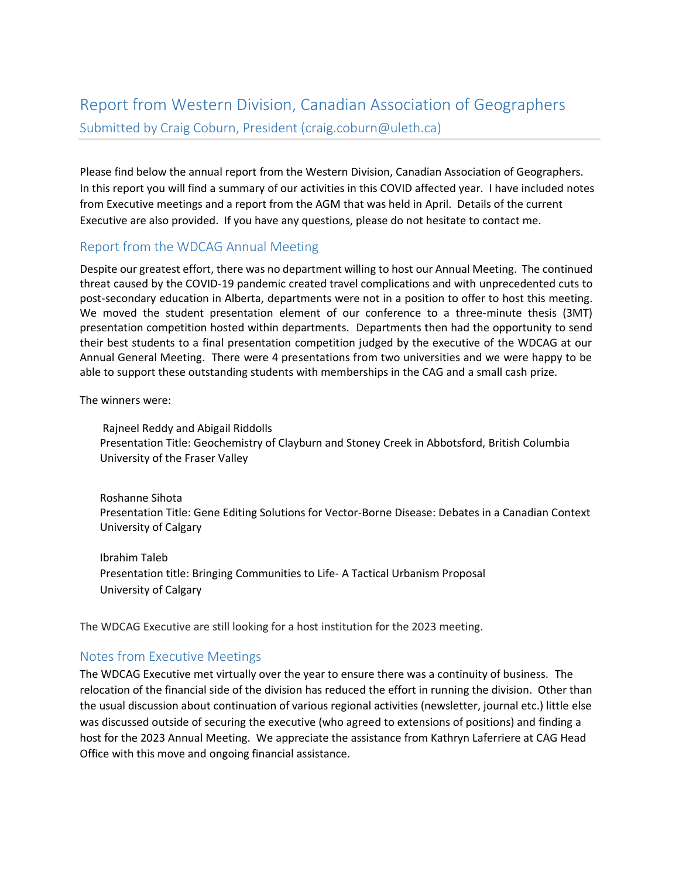## Report from Western Division, Canadian Association of Geographers Submitted by Craig Coburn, President (craig.coburn@uleth.ca)

Please find below the annual report from the Western Division, Canadian Association of Geographers. In this report you will find a summary of our activities in this COVID affected year. I have included notes from Executive meetings and a report from the AGM that was held in April. Details of the current Executive are also provided. If you have any questions, please do not hesitate to contact me.

## Report from the WDCAG Annual Meeting

Despite our greatest effort, there was no department willing to host our Annual Meeting. The continued threat caused by the COVID-19 pandemic created travel complications and with unprecedented cuts to post-secondary education in Alberta, departments were not in a position to offer to host this meeting. We moved the student presentation element of our conference to a three-minute thesis (3MT) presentation competition hosted within departments. Departments then had the opportunity to send their best students to a final presentation competition judged by the executive of the WDCAG at our Annual General Meeting. There were 4 presentations from two universities and we were happy to be able to support these outstanding students with memberships in the CAG and a small cash prize.

The winners were:

Rajneel Reddy and Abigail Riddolls Presentation Title: Geochemistry of Clayburn and Stoney Creek in Abbotsford, British Columbia University of the Fraser Valley

Roshanne Sihota Presentation Title: Gene Editing Solutions for Vector-Borne Disease: Debates in a Canadian Context University of Calgary

Ibrahim Taleb Presentation title: Bringing Communities to Life- A Tactical Urbanism Proposal University of Calgary

The WDCAG Executive are still looking for a host institution for the 2023 meeting.

## Notes from Executive Meetings

The WDCAG Executive met virtually over the year to ensure there was a continuity of business. The relocation of the financial side of the division has reduced the effort in running the division. Other than the usual discussion about continuation of various regional activities (newsletter, journal etc.) little else was discussed outside of securing the executive (who agreed to extensions of positions) and finding a host for the 2023 Annual Meeting. We appreciate the assistance from Kathryn Laferriere at CAG Head Office with this move and ongoing financial assistance.